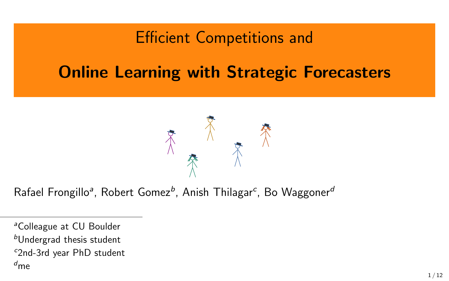#### Efficient Competitions and

### Online Learning with Strategic Forecasters



Rafael Frongillo<sup>a</sup>, Robert Gomez<sup>b</sup>, Anish Thilagar<sup>c</sup>, Bo Waggoner<sup>a</sup>

<sup>&</sup>lt;sup>a</sup>Colleague at CU Boulder

 $<sup>b</sup>$ Undergrad thesis student</sup>

<sup>c</sup>2nd-3rd year PhD student

 $d_{\mathsf{m}\mathsf{e}}$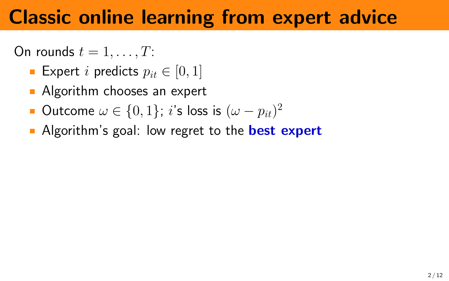## Classic online learning from expert advice

On rounds  $t = 1, \ldots, T$ :

- Expert *i* predicts  $p_{it} \in [0, 1]$
- **Algorithm chooses an expert**
- Outcome  $\omega \in \{0,1\}$ ;  $i$ 's loss is  $(\omega p_{it})^2$
- Algorithm's goal: low regret to the **best expert**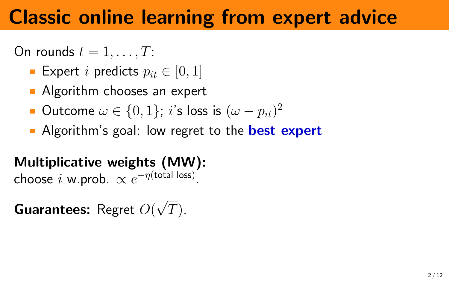## Classic online learning from expert advice

On rounds  $t = 1, \ldots, T$ :

- Expert *i* predicts  $p_{it} \in [0, 1]$
- **Algorithm chooses an expert**
- Outcome  $\omega \in \{0,1\}$ ;  $i$ 's loss is  $(\omega p_{it})^2$
- Algorithm's goal: low regret to the **best expert**

### Multiplicative weights (MW):

choose  $i$  w.prob.  $\propto e^{-\eta(\text{total loss})}$ .

**Guarantees:** Regret  $O($ √  $T).$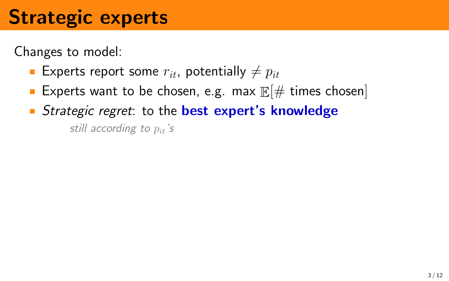# Strategic experts

Changes to model:

- Experts report some  $r_{it}$ , potentially  $\neq p_{it}$
- Experts want to be chosen, e.g. max  $\mathbb{E}[\#$  times chosen
- Strategic regret: to the best expert's knowledge still according to  $p_{it}$ 's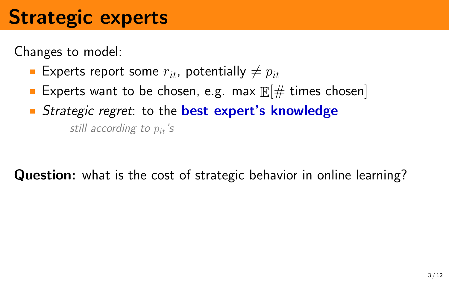# Strategic experts

Changes to model:

- Experts report some  $r_{it}$ , potentially  $\neq p_{it}$
- Experts want to be chosen, e.g. max  $\mathbb{E}[\#$  times chosen
- Strategic regret: to the best expert's knowledge still according to  $p_{i}$ 's

Question: what is the cost of strategic behavior in online learning?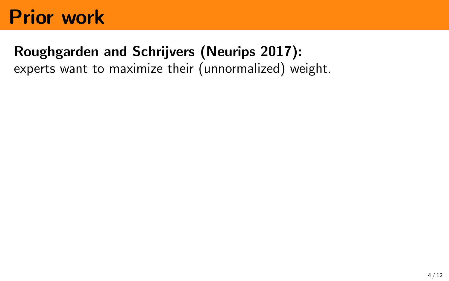### Roughgarden and Schrijvers (Neurips 2017):

experts want to maximize their (unnormalized) weight.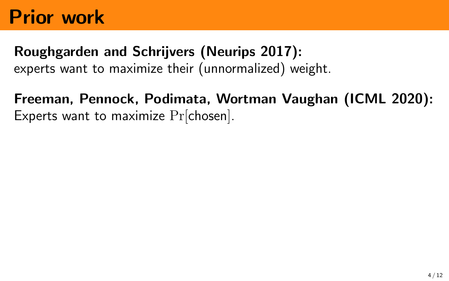#### Roughgarden and Schrijvers (Neurips 2017):

experts want to maximize their (unnormalized) weight.

#### Freeman, Pennock, Podimata, Wortman Vaughan (ICML 2020): Experts want to maximize Pr[chosen].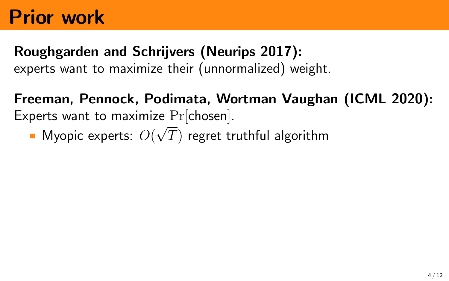# Roughgarden and Schrijvers (Neurips 2017):

experts want to maximize their (unnormalized) weight.

Freeman, Pennock, Podimata, Wortman Vaughan (ICML 2020): Experts want to maximize  $Pr[chosen]$ .

Myopic experts:  $O(\sqrt{T})$  regret truthful algorithm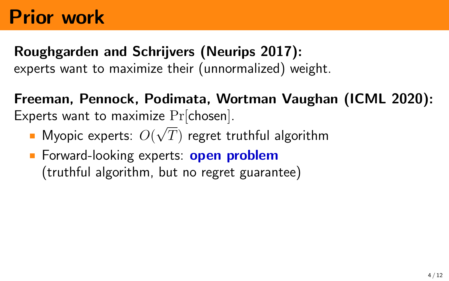#### Roughgarden and Schrijvers (Neurips 2017): experts want to maximize their (unnormalized) weight.

Freeman, Pennock, Podimata, Wortman Vaughan (ICML 2020): Experts want to maximize  $Pr[chosen]$ .

- Myopic experts:  $O(\sqrt{T})$  regret truthful algorithm
- Forward-looking experts: **open problem** (truthful algorithm, but no regret guarantee)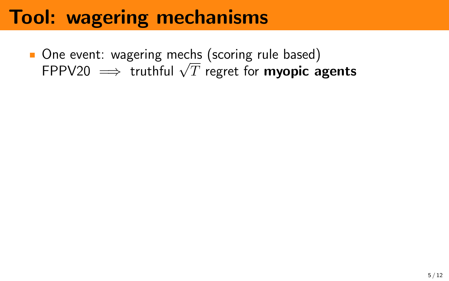One event: wagering mechs (scoring rule based) One event: wagering mecns (scoring ruie based)<br>FPPV20  $\implies$  truthful  $\sqrt{T}$  regret for **myopic agents**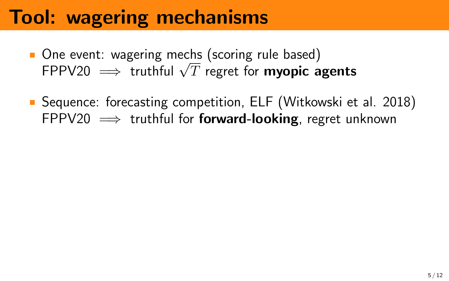- One event: wagering mechs (scoring rule based) One event: wagering mecns (scoring ruie based)<br>FPPV20  $\implies$  truthful  $\sqrt{T}$  regret for **myopic agents**
- **Sequence: forecasting competition, ELF (Witkowski et al. 2018)** FPPV20  $\implies$  truthful for **forward-looking**, regret unknown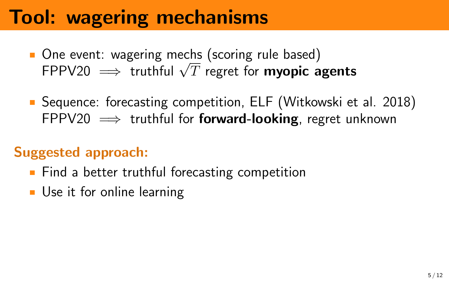- One event: wagering mechs (scoring rule based) One event: wagering mecns (scoring ruie based)<br>FPPV20  $\implies$  truthful  $\sqrt{T}$  regret for **myopic agents**
- **E** Sequence: forecasting competition, ELF (Witkowski et al. 2018) FPPV20  $\implies$  truthful for **forward-looking**, regret unknown

#### Suggested approach:

- **Find a better truthful forecasting competition**
- **Use it for online learning**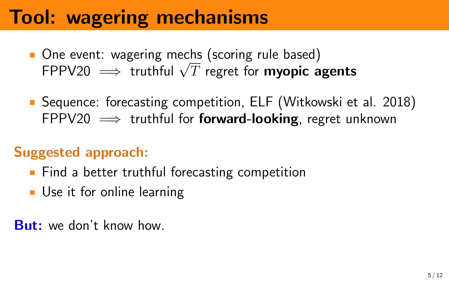- One event: wagering mechs (scoring rule based) One event: wagering mecns (scoring ruie based)<br>FPPV20  $\implies$  truthful  $\sqrt{T}$  regret for **myopic agents**
- **E** Sequence: forecasting competition, ELF (Witkowski et al. 2018) FPPV20  $\implies$  truthful for **forward-looking**, regret unknown

#### Suggested approach:

- **Find a better truthful forecasting competition**
- Use it for online learning

**But:** we don't know how.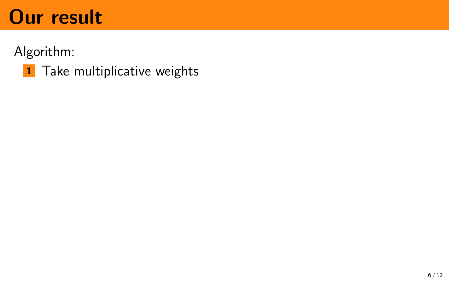Algorithm:

1 Take multiplicative weights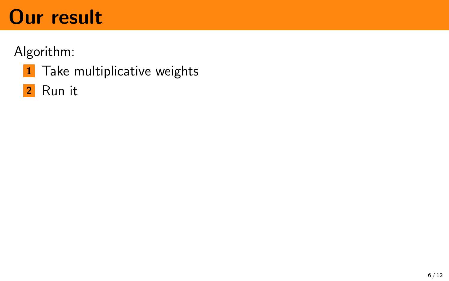#### Algorithm:

- 1 Take multiplicative weights
- 2 Run it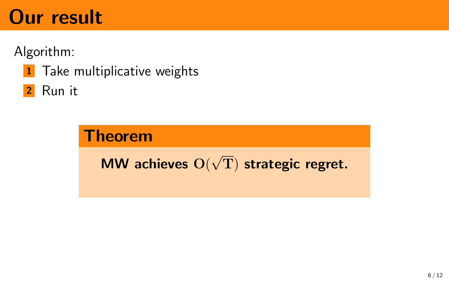Algorithm:

**1** Take multiplicative weights

2 Run it

#### Theorem MW achieves O( √ T) strategic regret.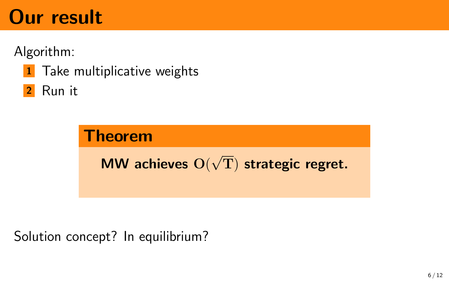Algorithm:

**1** Take multiplicative weights

2 Run it



Solution concept? In equilibrium?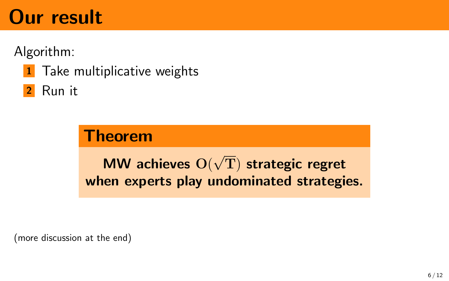Algorithm:

**1** Take multiplicative weights

<sup>2</sup> Run it

#### **Theorem**

MW achieves O( √ T) strategic regret when experts play undominated strategies.

(more discussion at the end)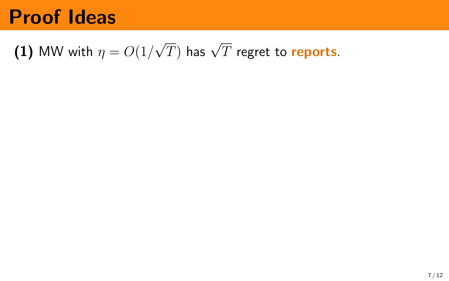#### $(1)$  MW with  $\eta = O(1/3)$  $\sqrt{T})$  has  $\sqrt{T}$  regret to  $\bm{\mathsf{reports}}.$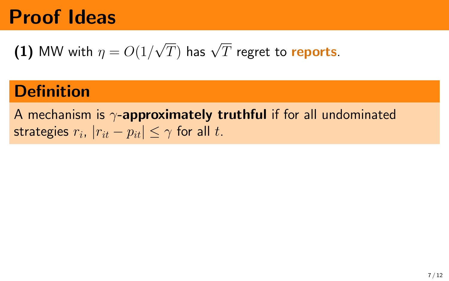(1) MW with 
$$
\eta = O(1/\sqrt{T})
$$
 has  $\sqrt{T}$  regret to **reports**.

### **Definition**

A mechanism is  $\gamma$ -approximately truthful if for all undominated strategies  $r_i$ ,  $|r_{it} - p_{it}| \leq \gamma$  for all  $t.$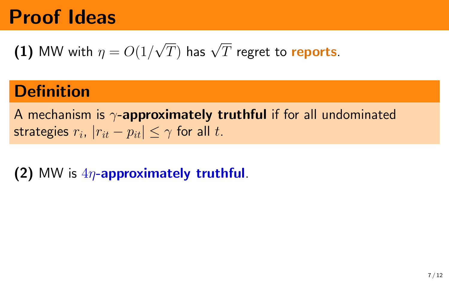(1) MW with 
$$
\eta = O(1/\sqrt{T})
$$
 has  $\sqrt{T}$  regret to **reports**.

### **Definition**

A mechanism is  $\gamma$ -approximately truthful if for all undominated strategies  $r_i$ ,  $|r_{it} - p_{it}| \leq \gamma$  for all  $t.$ 

#### (2) MW is  $4\eta$ -approximately truthful.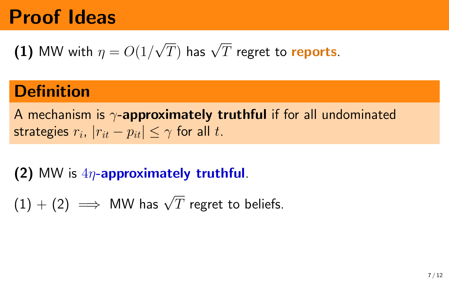(1) MW with 
$$
\eta = O(1/\sqrt{T})
$$
 has  $\sqrt{T}$  regret to **reports**.

### **Definition**

A mechanism is  $\gamma$ -approximately truthful if for all undominated strategies  $r_i$ ,  $|r_{it} - p_{it}| \leq \gamma$  for all  $t.$ 

#### (2) MW is  $4n$ -approximately truthful.

 $(1)+(2) \implies$  MW has  $\sqrt{T}$  regret to beliefs.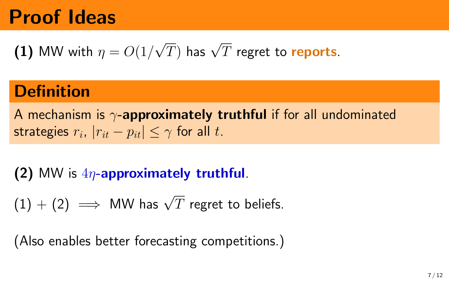(1) MW with 
$$
\eta = O(1/\sqrt{T})
$$
 has  $\sqrt{T}$  regret to **reports**.

### **Definition**

A mechanism is  $\gamma$ -approximately truthful if for all undominated strategies  $r_i$ ,  $|r_{it} - p_{it}| \leq \gamma$  for all  $t.$ 

#### (2) MW is  $4\eta$ -approximately truthful.

 $(1)+(2) \implies$  MW has  $\sqrt{T}$  regret to beliefs.

(Also enables better forecasting competitions.)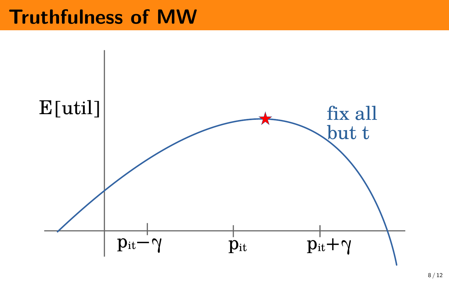### Truthfulness of MW

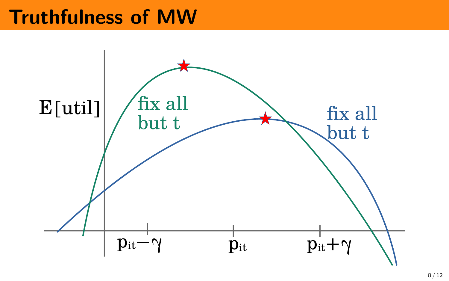### Truthfulness of MW

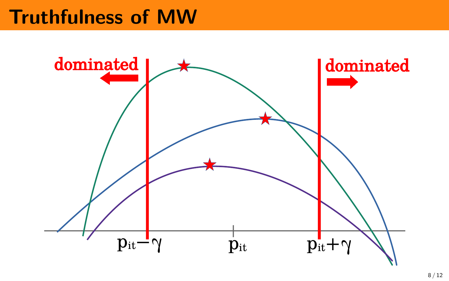## Truthfulness of MW

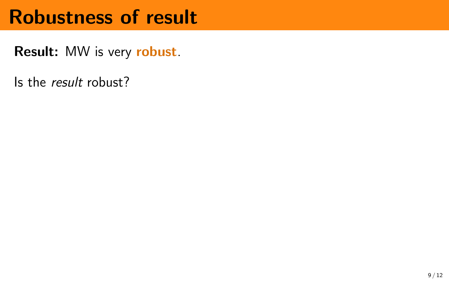Result: MW is very robust.

Is the result robust?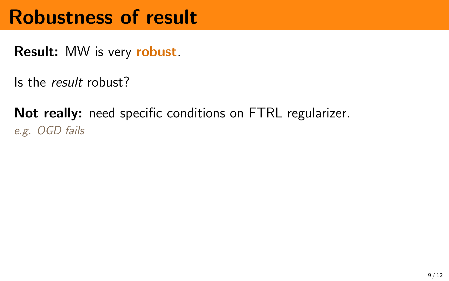Result: MW is very robust.

Is the result robust?

Not really: need specific conditions on FTRL regularizer. e.g. OGD fails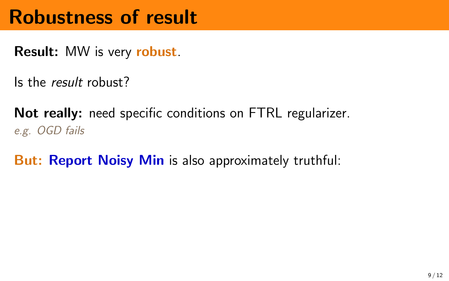Result: MW is very robust.

Is the result robust?

Not really: need specific conditions on FTRL regularizer. e.g. OGD fails

But: Report Noisy Min is also approximately truthful: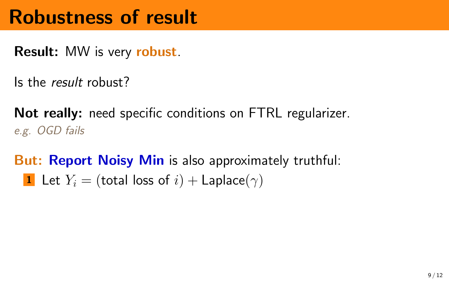Result: MW is very robust.

Is the result robust?

Not really: need specific conditions on FTRL regularizer. e.g. OGD fails

But: Report Noisy Min is also approximately truthful: 1 Let  $Y_i =$  (total loss of  $i$ ) + Laplace( $\gamma$ )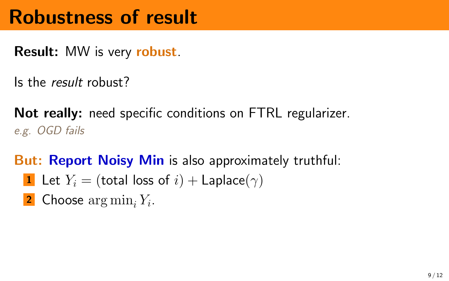Result: MW is very robust.

Is the result robust?

Not really: need specific conditions on FTRL regularizer. e.g. OGD fails

But: Report Noisy Min is also approximately truthful:

- 1 Let  $Y_i =$  (total loss of  $i$ ) + Laplace( $\gamma$ )
- **2** Choose  $\arg \min_i Y_i$ .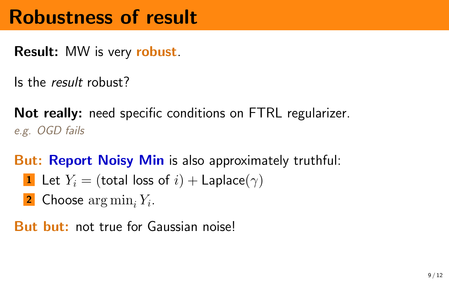Result: MW is very robust.

Is the result robust?

Not really: need specific conditions on FTRL regularizer. e.g. OGD fails

But: Report Noisy Min is also approximately truthful:

- 1 Let  $Y_i =$  (total loss of  $i$ ) + Laplace( $\gamma$ )
- **2** Choose  $\arg \min_i Y_i$ .

But but: not true for Gaussian noise!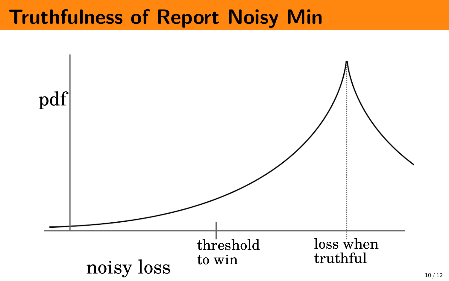### Truthfulness of Report Noisy Min

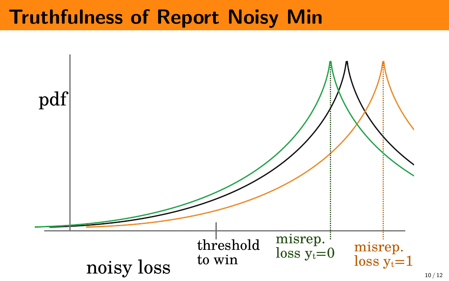### Truthfulness of Report Noisy Min

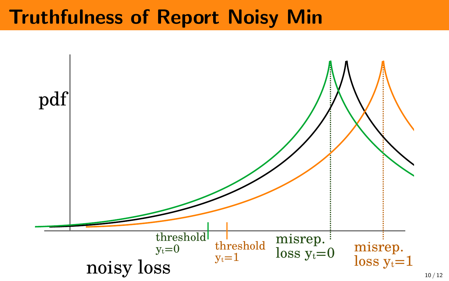### Truthfulness of Report Noisy Min

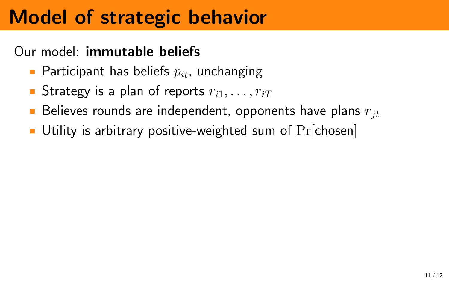# Model of strategic behavior

#### Our model: immutable beliefs

- **Participant has beliefs**  $p_{it}$ , unchanging
- Strategy is a plan of reports  $r_{i1}, \ldots, r_{iT}$
- Believes rounds are independent, opponents have plans  $r_{it}$
- Utility is arbitrary positive-weighted sum of  $Pr[chosen]$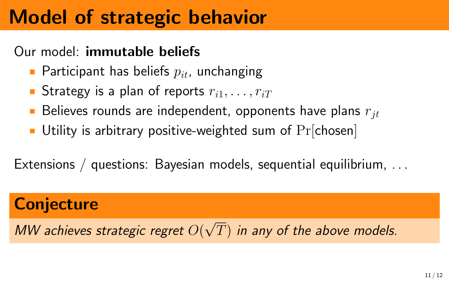# Model of strategic behavior

#### Our model: immutable beliefs

- **Participant has beliefs**  $p_{it}$ , unchanging
- Strategy is a plan of reports  $r_{i1}, \ldots, r_{iT}$
- Believes rounds are independent, opponents have plans  $r_{it}$
- Utility is arbitrary positive-weighted sum of  $Pr[chosen]$

Extensions / questions: Bayesian models, sequential equilibrium, . . .

### **Conjecture**

MW achieves strategic regret  $O($ √  $\left(T\right)$  in any of the above models.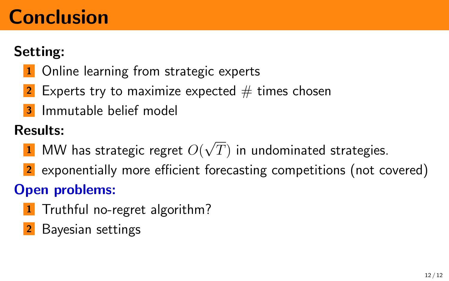# Conclusion

#### Setting:

- **1** Online learning from strategic experts
- **2** Experts try to maximize expected  $#$  times chosen
- <sup>3</sup> Immutable belief model

#### Results:

- $\textbf{1} \hspace{.1cm}$  MW has strategic regret  $O($ √  $\left(T\right)$  in undominated strategies.
- 2 exponentially more efficient forecasting competitions (not covered)

#### Open problems:

- 1 Truthful no-regret algorithm?
- 2 Bayesian settings